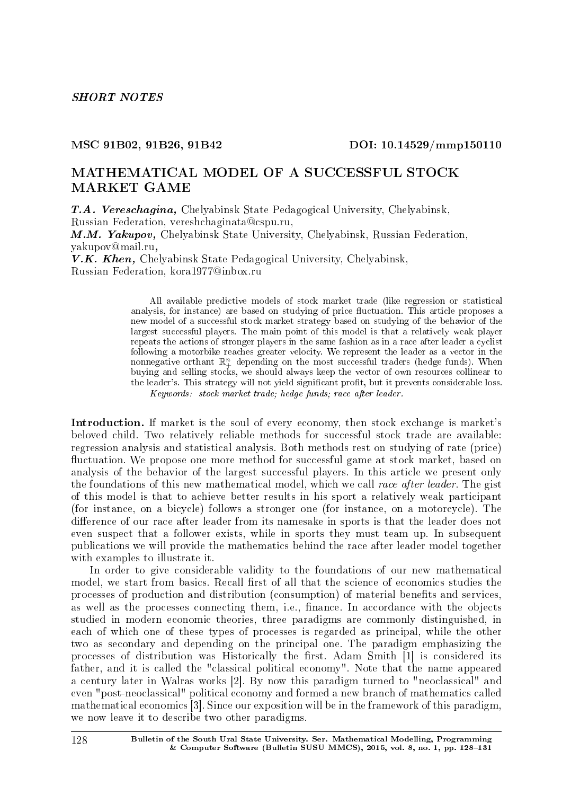#### MSC 91B02, 91B26, 91B42 DOI: 10.14529/mmp150110

## MATHEMATICAL MODEL OF A SUCCESSFUL STOCK MARKET GAME

T.A. Vereschagina, Chelyabinsk State Pedagogical University, Chelyabinsk, Russian Federation, vereshchaginata@cspu.ru, M.M. Yakupov, Chelyabinsk State University, Chelyabinsk, Russian Federation,

yakupov@mail.ru,

V.K. Khen, Chelyabinsk State Pedagogical University, Chelyabinsk, Russian Federation, kora1977@inbox.ru

> All available predictive models of stock market trade (like regression or statistical analysis, for instance) are based on studying of price fluctuation. This article proposes a new model of a successful stock market strategy based on studying of the behavior of the largest successful players. The main point of this model is that a relatively weak player repeats the actions of stronger players in the same fashion as in a race after leader a cyclist following a motorbike reaches greater velocity. We represent the leader as a vector in the nonnegative orthant  $\mathbb{R}^n_+$  depending on the most successful traders (hedge funds). When buying and selling stocks, we should always keep the vector of own resources collinear to the leader's. This strategy will not yield significant profit, but it prevents considerable loss.

Keywords: stock market trade; hedge funds; race after leader.

Introduction. If market is the soul of every economy, then stock exchange is market's beloved child. Two relatively reliable methods for successful stock trade are available: regression analysis and statistical analysis. Both methods rest on studying of rate (price) fluctuation. We propose one more method for successful game at stock market, based on analysis of the behavior of the largest successful players. In this article we present only the foundations of this new mathematical model, which we call race after leader. The gist of this model is that to achieve better results in his sport a relatively weak participant (for instance, on a bicycle) follows a stronger one (for instance, on a motorcycle). The difference of our race after leader from its namesake in sports is that the leader does not even suspect that a follower exists, while in sports they must team up. In subsequent publications we will provide the mathematics behind the race after leader model together with examples to illustrate it.

In order to give considerable validity to the foundations of our new mathematical model, we start from basics. Recall first of all that the science of economics studies the processes of production and distribution (consumption) of material benets and services, as well as the processes connecting them, i.e., finance. In accordance with the objects studied in modern economic theories, three paradigms are commonly distinguished, in each of which one of these types of processes is regarded as principal, while the other two as secondary and depending on the principal one. The paradigm emphasizing the processes of distribution was Historically the first. Adam Smith  $[1]$  is considered its father, and it is called the "classical political economy". Note that the name appeared a century later in Walras works [2]. By now this paradigm turned to "neoclassical" and even "post-neoclassical" political economy and formed a new branch of mathematics called mathematical economics [3]. Since our exposition will be in the framework of this paradigm, we now leave it to describe two other paradigms.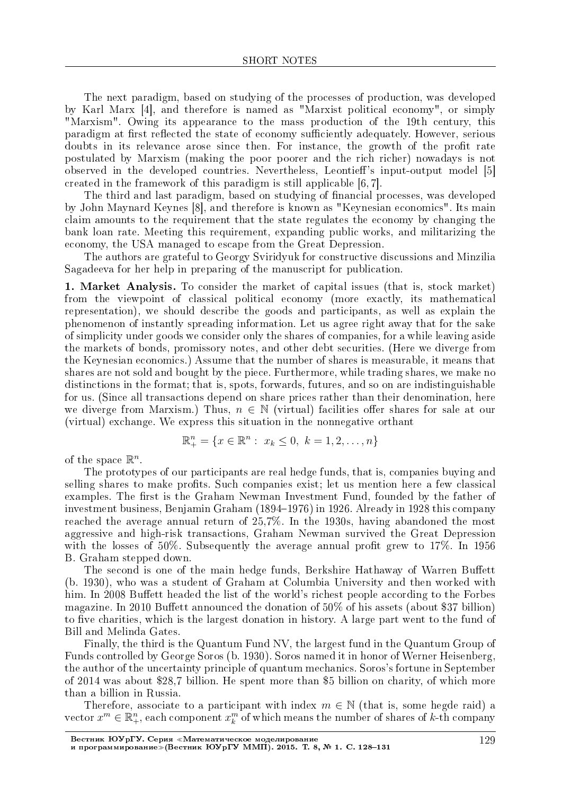The next paradigm, based on studying of the processes of production, was developed by Karl Marx [4], and therefore is named as "Marxist political economy", or simply "Marxism". Owing its appearance to the mass production of the 19th century, this paradigm at first reflected the state of economy sufficiently adequately. However, serious doubts in its relevance arose since then. For instance, the growth of the profit rate postulated by Marxism (making the poor poorer and the rich richer) nowadays is not observed in the developed countries. Nevertheless, Leontieff's input-output model [5] created in the framework of this paradigm is still applicable [6, 7].

The third and last paradigm, based on studying of financial processes, was developed by John Maynard Keynes [8], and therefore is known as "Keynesian economics". Its main claim amounts to the requirement that the state regulates the economy by changing the bank loan rate. Meeting this requirement, expanding public works, and militarizing the economy, the USA managed to escape from the Great Depression.

The authors are grateful to Georgy Sviridyuk for constructive discussions and Minzilia Sagadeeva for her help in preparing of the manuscript for publication.

1. Market Analysis. To consider the market of capital issues (that is, stock market) from the viewpoint of classical political economy (more exactly, its mathematical representation), we should describe the goods and participants, as well as explain the phenomenon of instantly spreading information. Let us agree right away that for the sake of simplicity under goods we consider only the shares of companies, for a while leaving aside the markets of bonds, promissory notes, and other debt securities. (Here we diverge from the Keynesian economics.) Assume that the number of shares is measurable, it means that shares are not sold and bought by the piece. Furthermore, while trading shares, we make no distinctions in the format; that is, spots, forwards, futures, and so on are indistinguishable for us. (Since all transactions depend on share prices rather than their denomination, here we diverge from Marxism.) Thus,  $n \in \mathbb{N}$  (virtual) facilities offer shares for sale at our (virtual) exchange. We express this situation in the nonnegative orthant

$$
\mathbb{R}^n_+ = \{ x \in \mathbb{R}^n : x_k \le 0, \ k = 1, 2, \dots, n \}
$$

of the space  $\mathbb{R}^n$ .

The prototypes of our participants are real hedge funds, that is, companies buying and selling shares to make profits. Such companies exist; let us mention here a few classical examples. The first is the Graham Newman Investment Fund, founded by the father of investment business, Benjamin Graham (1894–1976) in 1926. Already in 1928 this company reached the average annual return of 25,7%. In the 1930s, having abandoned the most aggressive and high-risk transactions, Graham Newman survived the Great Depression with the losses of 50%. Subsequently the average annual profit grew to 17%. In 1956 B. Graham stepped down.

The second is one of the main hedge funds, Berkshire Hathaway of Warren Buffett (b. 1930), who was a student of Graham at Columbia University and then worked with him. In 2008 Buffett headed the list of the world's richest people according to the Forbes magazine. In 2010 Buffett announced the donation of  $50\%$  of his assets (about \$37 billion) to five charities, which is the largest donation in history. A large part went to the fund of Bill and Melinda Gates.

Finally, the third is the Quantum Fund NV, the largest fund in the Quantum Group of Funds controlled by George Soros (b. 1930). Soros named it in honor of Werner Heisenberg, the author of the uncertainty principle of quantum mechanics. Soros's fortune in September of 2014 was about \$28,7 billion. He spent more than \$5 billion on charity, of which more than a billion in Russia.

Therefore, associate to a participant with index  $m \in \mathbb{N}$  (that is, some hegde raid) a vector  $x^m \in \mathbb{R}^n_+$ , each component  $x^m_k$  of which means the number of shares of *k*-th company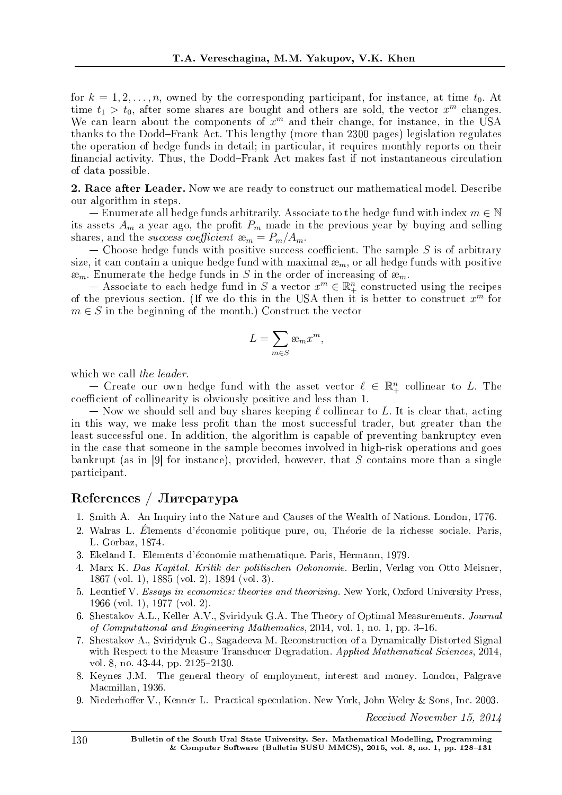for  $k = 1, 2, \ldots, n$ , owned by the corresponding participant, for instance, at time  $t_0$ . At time  $t_1 > t_0$ , after some shares are bought and others are sold, the vector  $x^m$  changes. We can learn about the components of  $x^m$  and their change, for instance, in the USA thanks to the Dodd-Frank Act. This lengthy (more than 2300 pages) legislation regulates the operation of hedge funds in detail; in particular, it requires monthly reports on their financial activity. Thus, the Dodd-Frank Act makes fast if not instantaneous circulation of data possible.

2. Race after Leader. Now we are ready to construct our mathematical model. Describe our algorithm in steps.

 Enumerate all hedge funds arbitrarily. Associate to the hedge fund with index *m ∈* N its assets  $A_m$  a year ago, the profit  $P_m$  made in the previous year by buying and selling shares, and the *success coefficient*  $\mathfrak{E}_m = P_m/A_m$ .

 $-$  Choose hedge funds with positive success coefficient. The sample S is of arbitrary size, it can contain a unique hedge fund with maximal æ*m*, or all hedge funds with positive  $\mathfrak{m}_m$ . Enumerate the hedge funds in *S* in the order of increasing of  $\mathfrak{m}_m$ .

 $-$  Associate to each hedge fund in *S* a vector  $x^m \in \mathbb{R}^n_+$  constructed using the recipes of the previous section. (If we do this in the USA then it is better to construct *x <sup>m</sup>* for  $m \in S$  in the beginning of the month.) Construct the vector

$$
L = \sum_{m \in S} \mathfrak{E}_m x^m,
$$

which we call the leader.

 $-$  Create our own hedge fund with the asset vector  $\ell \in \mathbb{R}^n_+$  collinear to *L*. The coefficient of collinearity is obviously positive and less than 1.

 Now we should sell and buy shares keeping *ℓ* collinear to *L*. It is clear that, acting in this way, we make less profit than the most successful trader, but greater than the least successful one. In addition, the algorithm is capable of preventing bankruptcy even in the case that someone in the sample becomes involved in high-risk operations and goes bankrupt (as in [9] for instance), provided, however, that *S* contains more than a single participant.

### $Ref$ erences /  $J$ I $\mu$ reparypa

- 1. Smith A. An Inquiry into the Nature and Causes of the Wealth of Nations. London, 1776.
- 2. Walras L. Élements d'économie politique pure, ou, Théorie de la richesse sociale. Paris, L. Gorbaz, 1874.
- 3. Ekeland I. Elements d'*e*´conomie mathematique. Paris, Hermann, 1979.
- 4. Marx K. Das Kapital. Kritik der politischen Oekonomie. Berlin, Verlag von Otto Meisner, 1867 (vol. 1), 1885 (vol. 2), 1894 (vol. 3).
- 5. Leontief V. Essays in economics: theories and theorizing. New York, Oxford University Press, 1966 (vol. 1), 1977 (vol. 2).
- 6. Shestakov A.L., Keller A.V., Sviridyuk G.A. The Theory of Optimal Measurements. Journal of Computational and Engineering Mathematics, 2014, vol. 1, no. 1, pp.  $3-16$ .
- 7. Shestakov A., Sviridyuk G., Sagadeeva M. Reconstruction of a Dynamically Distorted Signal with Respect to the Measure Transducer Degradation. Applied Mathematical Sciences, 2014, vol. 8, no. 43-44, pp. 2125–2130.
- 8. Keynes J.M. The general theory of employment, interest and money. London, Palgrave Macmillan, 1936.
- 9. Niederhoffer V., Kenner L. Practical speculation. New York, John Weley & Sons, Inc. 2003.

Received November 15, 2014